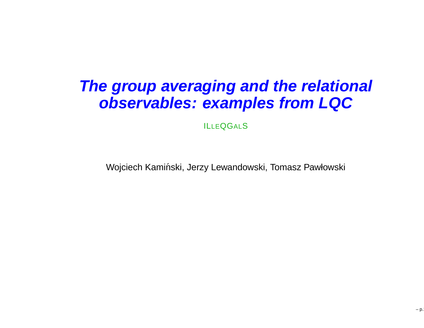#### **The group averaging and the relational observables: examples from LQC**

ILLEQGALS

Wojciech Kamiński, Jerzy Lewandowski, Tomasz Pawłowski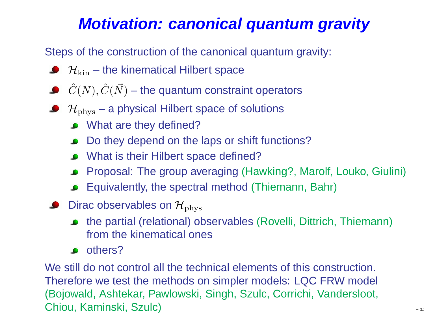#### **Motivation: canonical quantum gravity**

Steps of the construction of the canonical quantum gravity:

- $\mathcal{H}_{\rm kin}$  the kinematical Hilbert space
- $\hat{C}(N), \hat{C}(\vec{N})$  the quantum constraint operators
- $\mathcal{H}_{\text{phys}}$  a physical Hilbert space of solutions
	- What are they defined?
	- Do they depend on the laps or shift functions?
	- What is their Hilbert space defined?
	- Proposal: The group averaging (Hawking?, Marolf, Louko, Giulini)
	- Equivalently, the spectral method (Thiemann, Bahr)
- Dirac observables on  $\mathcal{H}_{\text{phys}}$ 
	- the partial (relational) observables (Rovelli, Dittrich, Thiemann) from the kinematical ones
	- **o** others?

We still do not control all the technical elements of this construction. Therefore we test the methods on simpler models: LQC FRW model (Bojowald, Ashtekar, Pawlowski, Singh, Szulc, Corrichi, Vandersloot, Chiou, Kaminski, Szulc) $\int$  – p.2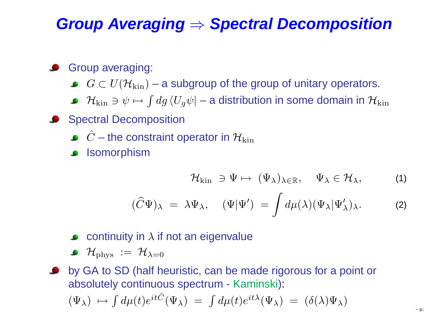# **Group Averaging**⇒ **Spectral Decomposition**

#### Group averaging:

- $G\subset U(\mathcal{H}_{\rm kin})$  a subgroup of the group of unitary operators.
- $\mathcal{H}_{{\rm kin}}\ni\psi\mapsto\int dg\,\langle U_g\psi|$  a distribution in some domain in  $\mathcal{H}_{{\rm kin}}$
- Spectral Decomposition
	- $\hat{C}$  the constraint operator in  $\mathcal{H}_\text{kin}$
	- **ISOMORPHISM**

$$
\mathcal{H}_{\mathrm{kin}} \supset \Psi \mapsto (\Psi_{\lambda})_{\lambda \in \mathbb{R}}, \quad \Psi_{\lambda} \in \mathcal{H}_{\lambda}, \tag{1}
$$

$$
(\widehat{C}\Psi)_{\lambda} = \lambda \Psi_{\lambda}, \quad (\Psi|\Psi') = \int d\mu(\lambda)(\Psi_{\lambda}|\Psi'_{\lambda})_{\lambda}.
$$
 (2)

- continuity in  $\lambda$  if not an eigenvalue
- $\mathcal{H}_{\text{phys}}\ :=\ \mathcal{H}_{\lambda=0}$

by GA to SD (half heuristic, can be made rigorous for <sup>a</sup> point orabsolutely continuous spectrum - Kaminski ):

$$
(\Psi_{\lambda}) \mapsto \int d\mu(t)e^{it\hat{C}}(\Psi_{\lambda}) = \int d\mu(t)e^{it\lambda}(\Psi_{\lambda}) = (\delta(\lambda)\Psi_{\lambda})
$$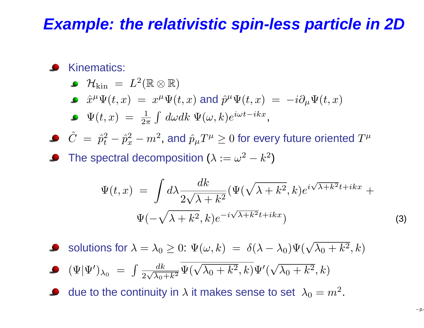#### **Example: the relativistic spin-less particle in 2D**

#### Kinematics:

 $\mathcal{H}_{\mathrm{kin}}~=~L^2$  $^{2}(\mathbb{R}\otimes\mathbb{R})$ 

• 
$$
\hat{x}^{\mu}\Psi(t,x) = x^{\mu}\Psi(t,x)
$$
 and  $\hat{p}^{\mu}\Psi(t,x) = -i\partial_{\mu}\Psi(t,x)$ 

$$
\bullet \quad \Psi(t,x) \ = \ \tfrac{1}{2\pi} \int \, d\omega dk \; \Psi(\omega,k) e^{i\omega t - i k x},
$$

 $\hat{C}~=~\hat{p}_t^2$  $t^{-}$  $\hat{p}^2_{\scriptscriptstyle \mathcal{I}}$  $\frac{2}{x}-m^2$  $^2$ , and  $\hat{p}_{\mu}T^{\mu}\geq 0$  for every future oriented  $T^{\mu}$ 

The spectral decomposition ( $\lambda:=\omega^2$  $^2-k^2$  $^{2})$ 

$$
\Psi(t,x) = \int d\lambda \frac{dk}{2\sqrt{\lambda + k^2}} (\Psi(\sqrt{\lambda + k^2}, k) e^{i\sqrt{\lambda + k^2}t + ikx} + \Psi(-\sqrt{\lambda + k^2}, k) e^{-i\sqrt{\lambda + k^2}t + ikx})
$$
\n(3)

solutions for  $\lambda=\lambda_0\geq 0\text{: }\Psi(\omega,k)~=~\delta(\lambda-\lambda_0)\Psi(\sqrt{\lambda_0+k^2},k)$ 

$$
\bullet \quad (\Psi|\Psi')_{\lambda_0} \ = \ \int \frac{dk}{2\sqrt{\lambda_0 + k^2}} \overline{\Psi(\sqrt{\lambda_0 + k^2}, k)} \Psi'(\sqrt{\lambda_0 + k^2}, k)
$$

due to the continuity in  $\lambda$  it makes sense to set  $\,\lambda_0=m^2$ .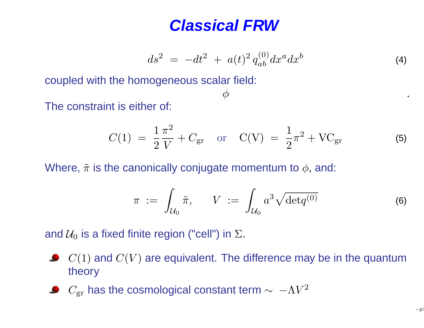#### **Classical FRW**

 $\phi$ 

$$
ds^2 = -dt^2 + a(t)^2 q_{ab}^{(0)} dx^a dx^b
$$
 (4)

 $\varphi$  . The contract of  $\varphi$ 

coupled with the homogeneous scalar field:

The constraint is either of:

$$
C(1) = \frac{1}{2} \frac{\pi^2}{V} + C_{\text{gr}} \quad \text{or} \quad C(V) = \frac{1}{2} \pi^2 + V C_{\text{gr}} \tag{5}
$$

Where,  $\tilde{\pi}$  is the canonically conjugate momentum to  $\phi$ , and:

$$
\pi \; := \; \int_{\mathcal{U}_0} \tilde{\pi}, \qquad V \; := \; \int_{\mathcal{U}_0} a^3 \sqrt{\det q^{(0)}} \tag{6}
$$

and  $\mathcal{U}_0$  is a fixed finite region ("cell") in  $\Sigma.$ 

- $C(1)$  and  $C(V)$  are equivalent. The difference may be in the quantum theory
- $C_{\rm gr}$  has the cosmological constant term  $\sim~-\Lambda V^2$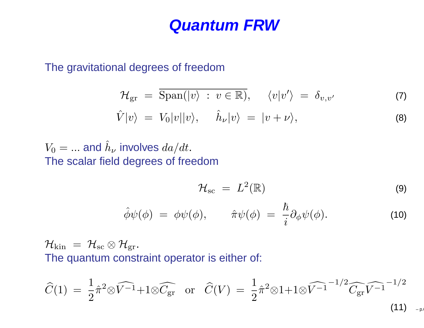#### **Quantum FRW**

The gravitational degrees of freedom

$$
\mathcal{H}_{\rm gr} = \overline{\rm Span}(|v\rangle : v \in \mathbb{R}), \quad \langle v|v'\rangle = \delta_{v,v'} \tag{7}
$$

$$
\hat{V}|v\rangle = V_0|v||v\rangle, \quad \hat{h}_{\nu}|v\rangle = |v+\nu\rangle, \tag{8}
$$

#### $V_0=...$  and  $\hat{h}$ ν $_{\nu}$  involves  $da/dt.$ The scalar field degrees of freedom

$$
\mathcal{H}_{\rm sc} = L^2(\mathbb{R}) \tag{9}
$$

$$
\hat{\phi}\psi(\phi) = \phi\psi(\phi), \qquad \hat{\pi}\psi(\phi) = \frac{\hbar}{i}\partial_{\phi}\psi(\phi). \tag{10}
$$

 $\mathcal{H}_{\rm kin}\,=\,\mathcal{H}_{\rm sc}\otimes\mathcal{H}_{\rm gr}.$ The sympathyse second The quantum constraint operator is either of:

$$
\widehat{C}(1) = \frac{1}{2}\hat{\pi}^{2} \otimes \widehat{V^{-1}} + 1 \otimes \widehat{C}_{\text{gr}} \quad \text{or} \quad \widehat{C}(V) = \frac{1}{2}\hat{\pi}^{2} \otimes 1 + 1 \otimes \widehat{V^{-1}}^{-1/2} \widehat{C_{\text{gr}}} \widehat{V^{-1}}^{-1/2}
$$
\n(11)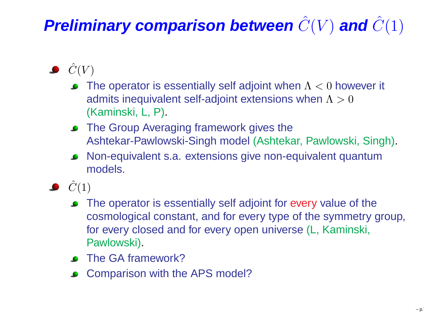### $\boldsymbol{P}$ reliminary comparison between  $\hat{C}(V)$  and  $\hat{C}(1)$

- $\hat{C}(V)$ 
	- The operator is essentially self adjoint when  $\Lambda < 0$  however it admits inequivalent self-adjoint extensions when  $\Lambda>0$ (Kaminski, L, P).
	- The Group Averaging framework gives the Ashtekar-Pawlowski-Singh model (Ashtekar, Pawlowski, Singh).
	- Non-equivalent s.a. extensions give non-equivalent quantummodels.
- $\bullet$   $\hat{C}(1)$ 
	- The operator is essentially self adjoint for every value of the cosmological constant, and for every type of the symmetry group, for every closed and for every open universe (L, Kaminski, Pawlowski).
	- The GA framework?
	- Comparison with the APS model?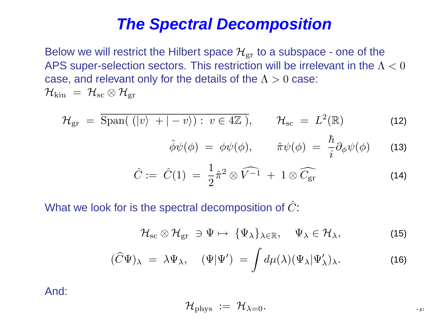#### **The Spectral Decomposition**

Below we will restrict the Hilbert space  $\mathcal{H}_{\mathrm{gr}}$  to a subspace - one of the APS super-selection sectors. This restriction will be irrelevant in the  $\Lambda < 0$ case, and relevant only for the details of the  $\Lambda>0$  case:  $\mathcal{H}_{\rm kin}\ =\ \mathcal{H}_{\rm sc}\otimes \mathcal{H}_{\rm gr}$ 

$$
\mathcal{H}_{\rm gr} = \overline{\rm Span}(\langle |v\rangle + |-v\rangle) : v \in 4\mathbb{Z}), \qquad \mathcal{H}_{\rm sc} = L^2(\mathbb{R}) \qquad (12)
$$

$$
\hat{\phi}\psi(\phi) = \phi\psi(\phi), \qquad \hat{\pi}\psi(\phi) = \frac{\hbar}{i}\partial_{\phi}\psi(\phi) \qquad (13)
$$

$$
\hat{C} := \hat{C}(1) = \frac{1}{2}\hat{\pi}^2 \otimes \widehat{V^{-1}} + 1 \otimes \widehat{C_{\text{gr}}}
$$
 (14)

What we look for is the spectral decomposition of  $\hat{C}$ :

$$
\mathcal{H}_{\mathrm{sc}}\otimes\mathcal{H}_{\mathrm{gr}}\;\ni\Psi\mapsto\;\{\Psi_{\lambda}\}_{\lambda\in\mathbb{R}},\quad\Psi_{\lambda}\in\mathcal{H}_{\lambda},\tag{15}
$$

$$
(\widehat{C}\Psi)_{\lambda} = \lambda \Psi_{\lambda}, \quad (\Psi|\Psi') = \int d\mu(\lambda)(\Psi_{\lambda}|\Psi'_{\lambda})_{\lambda}.
$$
 (16)

And:

$$
\mathcal{H}_{\text{phys}} \ := \ \mathcal{H}_{\lambda=0}.
$$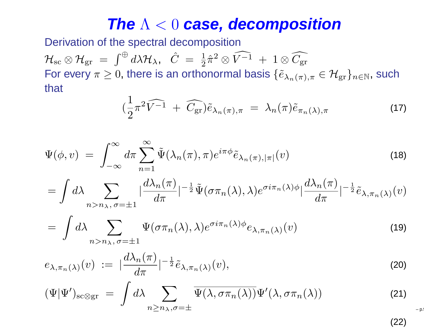## **The** <sup>Λ</sup> <sup>&</sup>lt; <sup>0</sup> **case, decomposition**

Derivation of the spectral decomposition

 ${\cal H}_{\rm sc}\otimes{\cal H}_{\rm gr}\;=\; \int^\oplus d\lambda {\cal H}_\lambda,\;\;\hat C\;=\;\frac12\hat\pi^2\otimes\hat\Pi\;.$  $\hat{C}_\mathrm{c}\otimes\mathcal{H}_\mathrm{gr}\ =\ \int^\oplus d\lambda \mathcal{H}_\lambda,\ \ \ \hat{C}\ =\ \frac{1}{2}\hat{\pi}^2\otimes\widehat{V^{-1}}\ +\ 1\otimes \widehat{C_\mathrm{gr}},$ For every  $\pi\geq 0$ , there is an orthonormal basis  $\{\tilde{e}_{\lambda_n(\pi),\pi}\in \mathcal{H}_{{\rm gr}}\}_{n\in\mathbb{N}}$ , such that

$$
\left(\frac{1}{2}\pi^2\widehat{V^{-1}} + \widehat{C_{\text{gr}}}\right)\tilde{e}_{\lambda_n(\pi),\pi} = \lambda_n(\pi)\tilde{e}_{\pi_n(\lambda),\pi} \tag{17}
$$

– p.!

$$
\Psi(\phi, v) = \int_{-\infty}^{\infty} d\pi \sum_{n=1}^{\infty} \tilde{\Psi}(\lambda_n(\pi), \pi) e^{i\pi \phi} \tilde{e}_{\lambda_n(\pi), |\pi|}(v)
$$
\n(18)

$$
= \int d\lambda \sum_{n>n\lambda,\sigma=\pm 1} |\frac{d\lambda_n(\pi)}{d\pi}|^{-\frac{1}{2}} \tilde{\Psi}(\sigma \pi_n(\lambda), \lambda) e^{\sigma i \pi_n(\lambda) \phi} |\frac{d\lambda_n(\pi)}{d\pi}|^{-\frac{1}{2}} \tilde{e}_{\lambda, \pi_n(\lambda)}(v)
$$

$$
= \int d\lambda \sum_{n>n_{\lambda}, \sigma=\pm 1} \Psi(\sigma \pi_n(\lambda), \lambda) e^{\sigma i \pi_n(\lambda) \phi} e_{\lambda, \pi_n(\lambda)}(v) \tag{19}
$$

$$
e_{\lambda,\pi_n(\lambda)}(v) := |\frac{d\lambda_n(\pi)}{d\pi}|^{-\frac{1}{2}} \tilde{e}_{\lambda,\pi_n(\lambda)}(v), \tag{20}
$$

$$
(\Psi|\Psi')_{\text{sc}\otimes\text{gr}} = \int d\lambda \sum_{n\geq n_{\lambda},\sigma=\pm} \overline{\Psi(\lambda,\sigma\pi_n(\lambda))} \Psi'(\lambda,\sigma\pi_n(\lambda)) \tag{21}
$$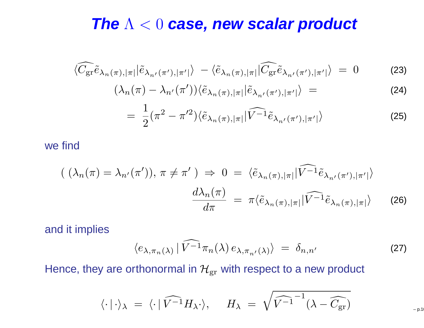## **The** <sup>Λ</sup> <sup>&</sup>lt; <sup>0</sup> **case, new scalar product**

$$
\langle \widehat{C_{\rm gr}} \tilde{e}_{\lambda_n(\pi), |\pi|} | \tilde{e}_{\lambda_{n'}(\pi'), |\pi'|} \rangle - \langle \tilde{e}_{\lambda_n(\pi), |\pi|} | \widehat{C_{\rm gr}} \tilde{e}_{\lambda_{n'}(\pi'), |\pi'|} \rangle = 0 \tag{23}
$$

$$
(\lambda_n(\pi) - \lambda_{n'}(\pi')) \langle \tilde{e}_{\lambda_n(\pi),|\pi|} | \tilde{e}_{\lambda_{n'}(\pi'),|\pi'|} \rangle = \tag{24}
$$

$$
= \frac{1}{2} (\pi^2 - \pi^2) \langle \tilde{e}_{\lambda_n(\pi), |\pi|} | \widehat{V^{-1}} \tilde{e}_{\lambda_{n'}(\pi'), |\pi'|} \rangle \tag{25}
$$

we find

$$
\begin{aligned}\n\left( \ (\lambda_n(\pi) = \lambda_{n'}(\pi') \), \ \pi \neq \pi' \ \right) &\Rightarrow \ 0 = \ \langle \tilde{e}_{\lambda_n(\pi),|\pi|} | \widehat{V^{-1}} \tilde{e}_{\lambda_{n'}(\pi'),|\pi'|} \rangle \\
\frac{d\lambda_n(\pi)}{d\pi} &= \ \pi \langle \tilde{e}_{\lambda_n(\pi),|\pi|} | \widehat{V^{-1}} \tilde{e}_{\lambda_n(\pi),|\pi|} \rangle\n\end{aligned}
$$
\n(26)

and it implies

$$
\langle e_{\lambda,\pi_n(\lambda)} | \widehat{V^{-1}} \pi_n(\lambda) e_{\lambda,\pi_{n'}(\lambda)} \rangle = \delta_{n,n'} \tag{27}
$$

Hence, they are orthonormal in  ${\cal H}_{\rm gr}$  with respect to a new product

$$
\langle\cdot\,|\,\cdot\rangle_{\lambda} \;=\; \langle\cdot\,|\,\widehat{V^{-1}}H_{\lambda}\cdot\rangle, \hspace{.5cm} H_{\lambda} \;=\; \sqrt{\widehat{V^{-1}}^{-1}(\lambda-\widehat{C_{\text{gr}}})} \hspace{1.5cm}\nonumber_{\text{--p.10}}
$$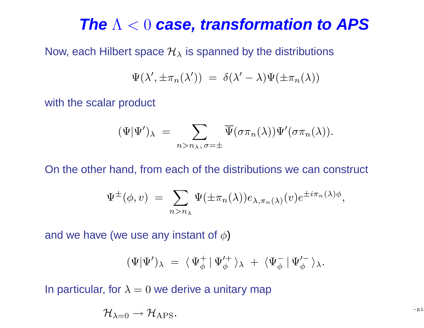## **The** <sup>Λ</sup> <sup>&</sup>lt; <sup>0</sup> **case, transformation to APS**

Now, each Hilbert space  $\mathcal{H}_\lambda$  is spanned by the distributions

$$
\Psi(\lambda', \pm \pi_n(\lambda')) = \delta(\lambda' - \lambda)\Psi(\pm \pi_n(\lambda))
$$

with the scalar product

$$
(\Psi|\Psi')_{\lambda} = \sum_{n>n_{\lambda}, \sigma=\pm} \overline{\Psi}(\sigma \pi_n(\lambda)) \Psi'(\sigma \pi_n(\lambda)).
$$

On the other hand, from each of the distributions we can construct

$$
\Psi^{\pm}(\phi, v) = \sum_{n > n_{\lambda}} \Psi(\pm \pi_n(\lambda)) e_{\lambda, \pi_n(\lambda)}(v) e^{\pm i \pi_n(\lambda) \phi},
$$

and we have (we use any instant of  $\phi$ )

$$
(\Psi|\Psi')_{\lambda} = \langle \Psi_{\phi}^{+} | \Psi_{\phi}'^{+} \rangle_{\lambda} + \langle \Psi_{\phi}^{-} | \Psi_{\phi}'^{-} \rangle_{\lambda}.
$$

In particular, for  $\lambda=0$  we derive a unitary map

$$
\mathcal{H}_{\lambda=0}\to \mathcal{H}_{\rm APS}.\hskip2in 10^{-10}
$$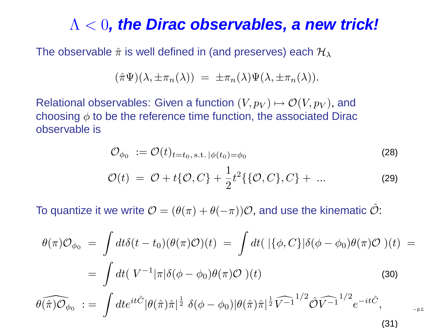## Λ <sup>&</sup>lt; <sup>0</sup>**, the Dirac observables, <sup>a</sup> new trick!**

The observable  $\hat{\pi}$  is well defined in (and preserves) each  $\mathcal{H}_\lambda$ 

$$
(\hat{\pi}\Psi)(\lambda, \pm \pi_n(\lambda)) = \pm \pi_n(\lambda)\Psi(\lambda, \pm \pi_n(\lambda)).
$$

Relational observables: Given a function  $(V, p_V) \mapsto \mathcal{O}(V, p_V)$ , and choosing  $\phi$  to be the reference time function, the associated Dirac observable is

$$
\mathcal{O}_{\phi_0} := \mathcal{O}(t)_{t=t_0, \text{s.t. } |\phi(t_0) = \phi_0} \tag{28}
$$

$$
\mathcal{O}(t) = \mathcal{O} + t\{\mathcal{O}, C\} + \frac{1}{2}t^2\{\{\mathcal{O}, C\}, C\} + \dots
$$
 (29)

p.12

To quantize it we write  $\mathcal{O} = (\theta(\pi) + \theta(-\pi))\mathcal{O}$ , and use the kinematic  $\hat{\mathcal{O}}$ :

$$
\theta(\pi)\mathcal{O}_{\phi_0} = \int dt \delta(t - t_0)(\theta(\pi)\mathcal{O})(t) = \int dt (\vert \{\phi, C\} \vert \delta(\phi - \phi_0)\theta(\pi)\mathcal{O})(t) =
$$
\n
$$
= \int dt (\vert V^{-1} \vert \pi \vert \delta(\phi - \phi_0)\theta(\pi)\mathcal{O})(t)
$$
\n
$$
\theta(\widehat{\pi})\widehat{\mathcal{O}}_{\phi_0} := \int dt e^{it\hat{C}} \vert \theta(\hat{\pi})\hat{\pi} \vert^{\frac{1}{2}} \delta(\phi - \phi_0) \vert \theta(\hat{\pi})\hat{\pi} \vert^{\frac{1}{2}} \widehat{V^{-1}}^{1/2} \widehat{\mathcal{O}} \widehat{V^{-1}}^{1/2} e^{-it\hat{C}},
$$
\n(30)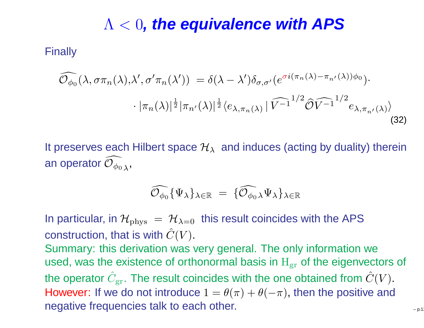## Λ <sup>&</sup>lt; <sup>0</sup>**, the equivalence with APS**

**Finally** 

$$
\widehat{\mathcal{O}_{\phi_0}}(\lambda, \sigma \pi_n(\lambda), \lambda', \sigma' \pi_n(\lambda')) = \delta(\lambda - \lambda') \delta_{\sigma, \sigma'}(e^{\sigma i(\pi_n(\lambda) - \pi_{n'}(\lambda))\phi_0}) \cdot \left| \pi_n(\lambda)\right|^{\frac{1}{2}} \left| \pi_{n'}(\lambda)\right|^{\frac{1}{2}} \left\langle e_{\lambda, \pi_n(\lambda)} | \widehat{V^{-1}}^{1/2} \widehat{\mathcal{O}} \widehat{V^{-1}}^{1/2} e_{\lambda, \pi_{n'}(\lambda)} \right\rangle
$$
\n(32)

It preserves each Hilbert space  $\mathcal{H}_\lambda \;$  and induces (acting by duality) therein an operator  $\widehat{\mathcal{O}_{\phi_{0}}}$  $\phi_0$   $_\lambda$  ,

$$
\widehat{\mathcal{O}_{\phi_0}} \{\Psi_\lambda\}_{\lambda \in \mathbb{R}} \;=\; \{\widehat{\mathcal{O}_{\phi_0}}_\lambda \Psi_\lambda\}_{\lambda \in \mathbb{R}}
$$

In particular, in  ${\cal H}_{\rm phys} \ =\ {\cal H}_{\lambda=0} \ \ \hbox{this result coincides with the APS}$ construction, that is with  $\hat{C}(V)$ .

 Summary: this derivation was very general. The only information weused, was the existence of orthonormal basis in  $\mathbf{H}_{\text{gr}}$  of the eigenvectors of the operator  $\hat{C}_{\text{gr}}$ . The result coincides with the one obtained from  $\hat{C}(V)$ . However: If we do not introduce  $1 = \theta(\pi) + \theta(-\pi)$ , then the positive and negative frequencies talk to each other.  $\blacksquare$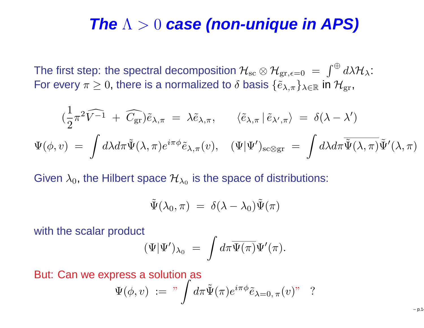## **The** <sup>Λ</sup> <sup>&</sup>gt; <sup>0</sup> **case (non-unique in APS)**

The first step: the spectral decomposition  $\mathcal{H}_{\rm sc}\otimes\mathcal{H}_{\rm gr,\epsilon=0}\ =\ \int^\oplus d\lambda\mathcal{H}_\lambda\colon$ For every  $\pi\geq 0$ , there is a normalized to  $\delta$  basis  $\{\tilde{e}_{\lambda,\pi}\}_{\lambda\in\mathbb{R}}$  in  $\mathcal{H}_\text{gr}$ ,

$$
(\frac{1}{2}\pi^2\widehat{V^{-1}} + \widehat{C_{\text{gr}}})\tilde{e}_{\lambda,\pi} = \lambda\tilde{e}_{\lambda,\pi}, \qquad \langle \tilde{e}_{\lambda,\pi} | \tilde{e}_{\lambda',\pi} \rangle = \delta(\lambda - \lambda')
$$

$$
\Psi(\phi, v) = \int d\lambda d\pi \tilde{\Psi}(\lambda, \pi) e^{i\pi \phi} \tilde{e}_{\lambda,\pi}(v), \qquad (\Psi|\Psi')_{\text{sc} \otimes \text{gr}} = \int d\lambda d\pi \tilde{\Psi}(\lambda, \pi) \tilde{\Psi}'(\lambda, \pi)
$$

Given  $\lambda_0$ , the Hilbert space  $\mathcal{H}_{\lambda_0}$  is the space of distributions:

$$
\tilde{\Psi}(\lambda_0, \pi) = \delta(\lambda - \lambda_0) \tilde{\Psi}(\pi)
$$

with the scalar product

$$
(\Psi|\Psi')_{\lambda_0} \;=\; \int d\pi \overline{\Psi(\pi)} \Psi'(\pi).
$$

But: Can we express <sup>a</sup> solution as

$$
\Psi(\phi, v) := " \int d\pi \tilde{\Psi}(\pi) e^{i\pi \phi} \tilde{e}_{\lambda=0, \pi}(v)" \quad ?
$$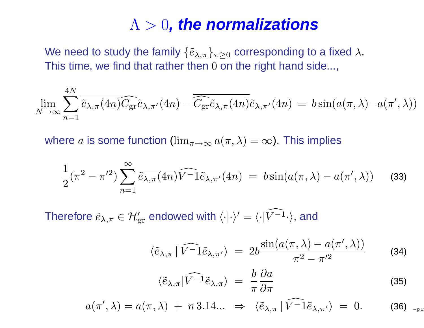## Λ <sup>&</sup>gt; <sup>0</sup>**, the normalizations**

We need to study the family  $\{\tilde{e}_{\lambda,\pi}\}_{\pi\geq 0}$  corresponding to a fixed  $\lambda.$ This time, we find that rather then  $0$  on the right hand side...,

$$
\lim_{N \to \infty} \sum_{n=1}^{4N} \overline{\tilde{e}_{\lambda,\pi}(4n)} \widehat{C_{gr}} \tilde{e}_{\lambda,\pi'}(4n) - \overline{\widehat{C_{gr}} \tilde{e}_{\lambda,\pi}(4n)} \tilde{e}_{\lambda,\pi'}(4n) = b \sin(a(\pi,\lambda) - a(\pi',\lambda))
$$

where  $a$  is some function  $(\lim_{\pi\to\infty}a(\pi,\lambda)=\infty)$ . This implies

$$
\frac{1}{2}(\pi^2 - \pi^2) \sum_{n=1}^{\infty} \overline{\tilde{e}_{\lambda,\pi}(4n)} \widehat{V}^{-1} \tilde{e}_{\lambda,\pi'}(4n) = b \sin(a(\pi,\lambda) - a(\pi',\lambda)) \tag{33}
$$

Therefore  $\widetilde{e}_{\lambda,\pi} \in \mathcal{H}_{\mathrm{gr}}'$  endowed with  $\langle\cdot|\cdot\rangle'=\langle\cdot|\widehat{V^{-1}}\cdot\rangle$ , and

$$
\langle \tilde{e}_{\lambda,\pi} | \widehat{V^-1} \tilde{e}_{\lambda,\pi'} \rangle = 2b \frac{\sin(a(\pi,\lambda) - a(\pi',\lambda))}{\pi^2 - \pi'^2}
$$
 (34)

$$
\langle \tilde{e}_{\lambda,\pi} | \widehat{V^{-1}} \tilde{e}_{\lambda,\pi} \rangle = \frac{b}{\pi} \frac{\partial a}{\partial \pi}
$$
 (35)

 $a(\pi',\lambda) = a(\pi,\lambda) + n 3.14... \Rightarrow \langle \tilde{e}_{\lambda,\pi} | \widehat{V^-1} \tilde{e}_{\lambda,\pi'} \rangle = 0.$  (36) <sub>-p.19</sub>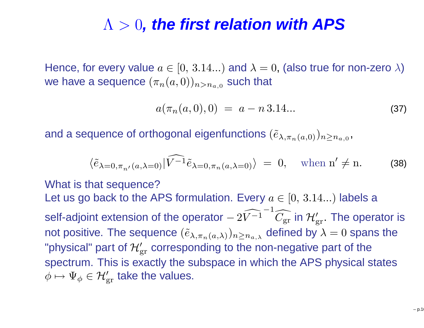## Λ <sup>&</sup>gt; <sup>0</sup>**, the first relation with APS**

Hence, for every value  $a\in[0,\,3.14...)$  and  $\lambda=0,$  (also true for non-zero  $\lambda)$ we have a sequence  $(\pi_n(a,0))_{n>n_{a,0}}$  such that

$$
a(\pi_n(a,0),0) = a - n 3.14...
$$
 (37)

and a sequence of orthogonal eigenfunctions  $(\tilde{e}_{\lambda,\pi_n(a,0)})_{n\geq n_{a,0}}$  ,

$$
\langle \tilde{e}_{\lambda=0,\pi_{n'}(a,\lambda=0)} | \widehat{V^{-1}} \tilde{e}_{\lambda=0,\pi_n(a,\lambda=0)} \rangle = 0, \quad \text{when } n' \neq n. \tag{38}
$$

What is that sequence?Let us go back to the APS formulation. Every  $a\in[0,\,3.14...)$  labels a self-adjoint extension of the operator  $−$  $-2V$  $\widehat{V^{-1}}^{-1}\widehat{C_{\mathrm{gr}}}$  in  $\mathcal{H}'_{\mathrm{gr}}.$  The operator is not positive. The sequence  $(\tilde{e}_{\lambda,\pi_n(a,\lambda)})_{n\geq n_{a,\lambda}}$  defined by  $\lambda=0$  spans the "physical" part of  $\mathcal{H}'_{\mathrm{gr}}$  corresponding to the non-negative part of the spectrum. This is exactly the subspace in which the APS physical states $\phi \mapsto \Psi_{\phi} \in \mathcal{H}_{\mathrm{gr}}'$  take the values.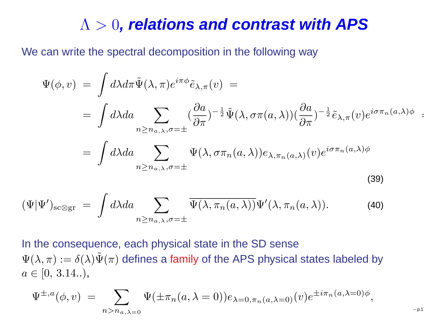## Λ <sup>&</sup>gt; <sup>0</sup>**, relations and contrast with APS**

We can write the spectral decomposition in the following way

$$
\Psi(\phi, v) = \int d\lambda d\pi \tilde{\Psi}(\lambda, \pi) e^{i\pi \phi} \tilde{e}_{\lambda, \pi}(v) =
$$
\n
$$
= \int d\lambda da \sum_{n \ge n_{a,\lambda}, \sigma = \pm} \left( \frac{\partial a}{\partial \pi} \right)^{-\frac{1}{2}} \tilde{\Psi}(\lambda, \sigma \pi(a, \lambda)) \left( \frac{\partial a}{\partial \pi} \right)^{-\frac{1}{2}} \tilde{e}_{\lambda, \pi}(v) e^{i\sigma \pi_n(a, \lambda)\phi} =
$$
\n
$$
= \int d\lambda da \sum_{n \ge n_{a,\lambda}, \sigma = \pm} \Psi(\lambda, \sigma \pi_n(a, \lambda)) e_{\lambda, \pi_n(a, \lambda)}(v) e^{i\sigma \pi_n(a, \lambda)\phi}
$$
\n(39)

$$
(\Psi|\Psi')_{\text{sc}\otimes\text{gr}} = \int d\lambda da \sum_{n\geq n_{a,\lambda},\sigma=\pm} \overline{\Psi(\lambda,\pi_n(a,\lambda))} \Psi'(\lambda,\pi_n(a,\lambda)). \tag{40}
$$

In the consequence, each physical state in the SD sense $\Psi(\lambda,\pi):=\delta(\lambda)\tilde{\Psi}(\pi)$  defines a family of the APS physical states labeled by  $a \in [0, 3.14..),$ 

$$
\Psi^{\pm,a}(\phi,v) = \sum_{n>n_{a,\lambda=0}} \Psi(\pm \pi_n(a,\lambda=0)) e_{\lambda=0,\pi_n(a,\lambda=0)}(v) e^{\pm i \pi_n(a,\lambda=0)\phi},
$$

– p.17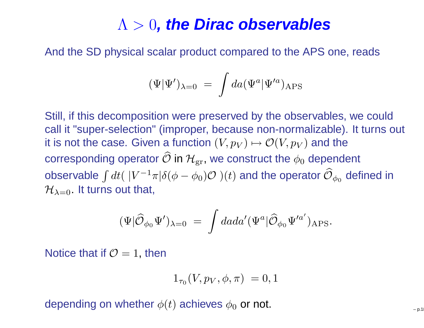## Λ <sup>&</sup>gt; <sup>0</sup>**, the Dirac observables**

And the SD physical scalar product compared to the APS one, reads

$$
(\Psi|\Psi')_{\lambda=0} \;=\; \int da (\Psi^a|\Psi'^a)_{\rm APS}
$$

Still, if this decomposition were preserved by the observables, we could call it "super-selection" (improper, because non-normalizable). It turns out it is not the case. Given a function  $(V,p_V)\mapsto \mathcal{O}(V,p_V)$  and the corresponding operator  $\widehat{\mathcal{O}}$  in  $\mathcal{H}_{\mathrm{gr}}$ , we construct the  $\phi_0$  dependent observable  $\int dt($   $|V^{-1}\pi|\delta(\phi-\phi_0)\mathcal{O}|)(t)$  and the operator  $\widehat{\mathcal{O}}_{\phi_0}$  defined in  $\mathcal{H}_{\lambda=0}.$  It turns out that,

$$
(\Psi|\widehat{\cal O}_{\phi_0}\Psi')_{\lambda=0} \ = \ \int dada' (\Psi^a|\widehat{\cal O}_{\phi_0}\Psi'^{a'})_{\rm APS}.
$$

Notice that if  $\mathcal{O}=1,$  then

$$
1_{\tau_0}(V, p_V, \phi, \pi) = 0, 1
$$

depending on whether  $\phi(t)$  achieves  $\phi_0$  or not.  $\hspace{1cm}$   $_{\hspace{1cm}$   $_{\hspace{1cm}$   $_{\hspace{1cm}$   $_{\hspace{1cm}$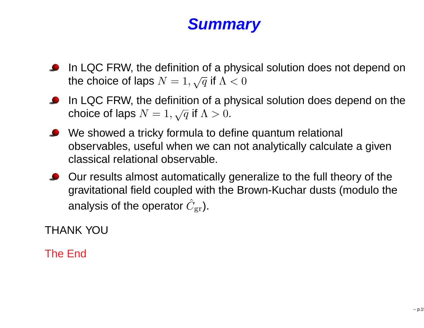#### **Summary**

- **In LQC FRW, the definition of a physical solution does not depend on** the choice of laps  $N=1, \sqrt{q}$  if  $\Lambda < 0$
- **In LQC FRW, the definition of a physical solution does depend on the** choice of laps  $N=1, \sqrt{q}$  if  $\Lambda>0.$
- We showed <sup>a</sup> tricky formula to define quantum relational observables, useful when we can not analytically calculate <sup>a</sup> given classical relational observable.
- **Our results almost automatically generalize to the full theory of the**  gravitational field coupled with the Brown-Kuchar dusts (modulo theanalysis of the operator  $\hat{C}_{\mathrm{gr}}$ ).

THANK YOU

The End